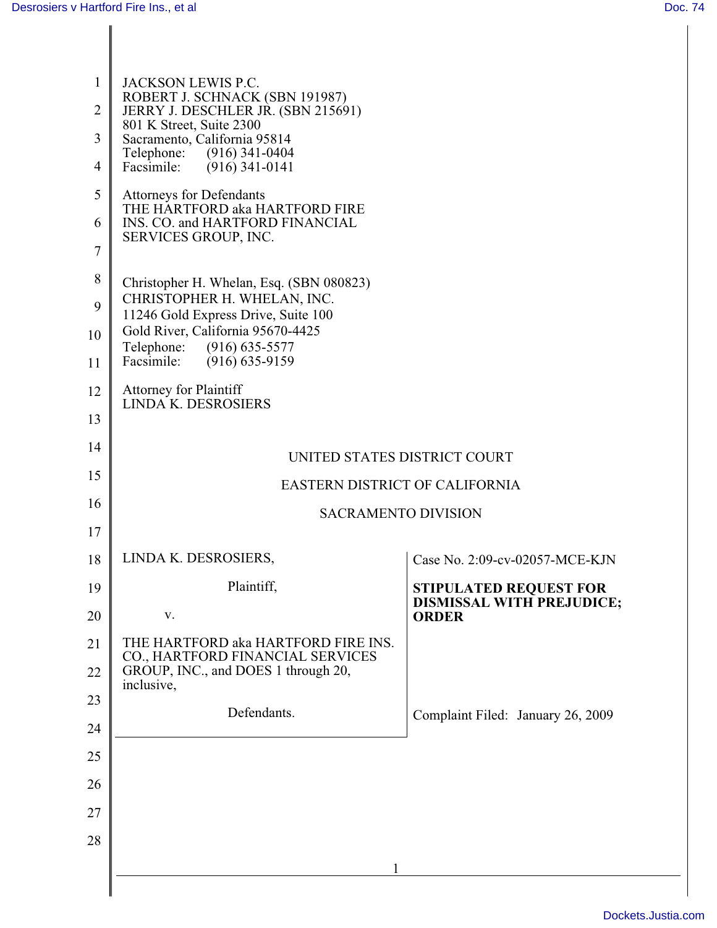| $\mathbf{1}$   | JACKSON LEWIS P.C.<br>ROBERT J. SCHNACK (SBN 191987)<br>JERRY J. DESCHLER JR. (SBN 215691)<br>801 K Street, Suite 2300<br>Sacramento, California 95814 |                                                                   |  |
|----------------|--------------------------------------------------------------------------------------------------------------------------------------------------------|-------------------------------------------------------------------|--|
| $\overline{2}$ |                                                                                                                                                        |                                                                   |  |
| 3              |                                                                                                                                                        |                                                                   |  |
| $\overline{4}$ | Telephone:<br>(916) 341-0404<br>Facsimile:<br>$(916)$ 341-0141                                                                                         |                                                                   |  |
| 5              | <b>Attorneys for Defendants</b>                                                                                                                        |                                                                   |  |
| 6              | THE HARTFORD aka HARTFORD FIRE<br>INS. CO. and HARTFORD FINANCIAL                                                                                      |                                                                   |  |
| $\tau$         | SERVICES GROUP, INC.                                                                                                                                   |                                                                   |  |
| 8              |                                                                                                                                                        |                                                                   |  |
| 9              | Christopher H. Whelan, Esq. (SBN 080823)<br>CHRISTOPHER H. WHELAN, INC.                                                                                |                                                                   |  |
| 10             | 11246 Gold Express Drive, Suite 100<br>Gold River, California 95670-4425                                                                               |                                                                   |  |
| 11             | Telephone: (916) 635-5577<br>Facsimile:<br>$(916) 635 - 9159$                                                                                          |                                                                   |  |
| 12             | <b>Attorney for Plaintiff</b>                                                                                                                          |                                                                   |  |
| 13             | LINDA K. DESROSIERS                                                                                                                                    |                                                                   |  |
| 14             |                                                                                                                                                        |                                                                   |  |
|                | UNITED STATES DISTRICT COURT                                                                                                                           |                                                                   |  |
| 15             | EASTERN DISTRICT OF CALIFORNIA                                                                                                                         |                                                                   |  |
| 16             | <b>SACRAMENTO DIVISION</b>                                                                                                                             |                                                                   |  |
| 17             |                                                                                                                                                        |                                                                   |  |
| 18             | LINDA K. DESROSIERS,                                                                                                                                   | Case No. 2:09-cv-02057-MCE-KJN                                    |  |
| 19             | Plaintiff,                                                                                                                                             | <b>STIPULATED REQUEST FOR</b><br><b>DISMISSAL WITH PREJUDICE;</b> |  |
| 20             | $\mathbf{V}$ .                                                                                                                                         | <b>ORDER</b>                                                      |  |
| 21             | THE HARTFORD aka HARTFORD FIRE INS.<br>CO., HARTFORD FINANCIAL SERVICES                                                                                |                                                                   |  |
| 22             | GROUP, INC., and DOES 1 through 20,<br>inclusive,                                                                                                      |                                                                   |  |
| 23             | Defendants.                                                                                                                                            |                                                                   |  |
| 24             |                                                                                                                                                        | Complaint Filed: January 26, 2009                                 |  |
| 25             |                                                                                                                                                        |                                                                   |  |
| 26             |                                                                                                                                                        |                                                                   |  |
| 27             |                                                                                                                                                        |                                                                   |  |
| 28             |                                                                                                                                                        |                                                                   |  |
|                |                                                                                                                                                        |                                                                   |  |
|                |                                                                                                                                                        |                                                                   |  |